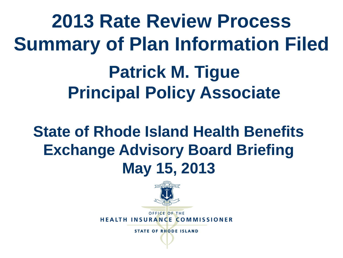**2013 Rate Review Process Summary of Plan Information Filed Patrick M. Tigue Principal Policy Associate**

#### **State of Rhode Island Health Benefits Exchange Advisory Board Briefing May 15, 2013**



OFFICE OF THE **HEALTH INSURANCE COMMISSIONER**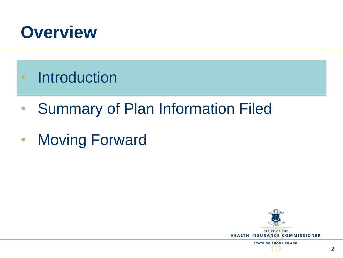

- Introduction
- Summary of Plan Information Filed
- Moving Forward

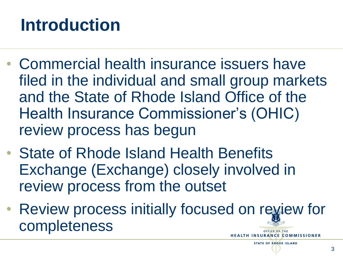## **Introduction**

- Commercial health insurance issuers have filed in the individual and small group markets and the State of Rhode Island Office of the Health Insurance Commissioner's (OHIC) review process has begun
- State of Rhode Island Health Benefits Exchange (Exchange) closely involved in review process from the outset
- Review process initially focused on review for completeness OFFICE OF THE **INSURANCE COMMISSIONER**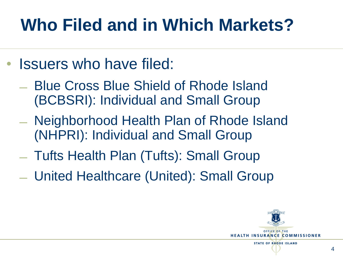# **Who Filed and in Which Markets?**

- Issuers who have filed:
	- ̶ Blue Cross Blue Shield of Rhode Island (BCBSRI): Individual and Small Group
	- ̶ Neighborhood Health Plan of Rhode Island (NHPRI): Individual and Small Group
	- ̶ Tufts Health Plan (Tufts): Small Group
	- ̶ United Healthcare (United): Small Group

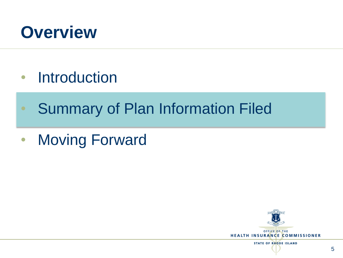

- Introduction
- Summary of Plan Information Filed
- Moving Forward

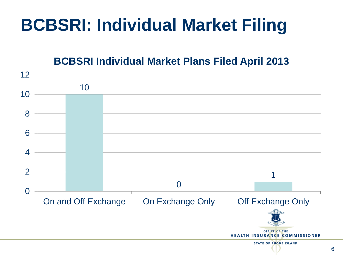## **BCBSRI: Individual Market Filing**

**BCBSRI Individual Market Plans Filed April 2013**

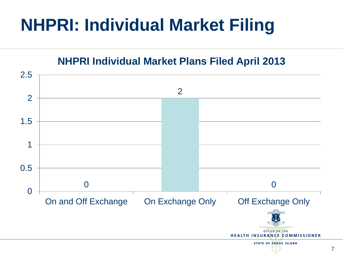### **NHPRI: Individual Market Filing**

#### **NHPRI Individual Market Plans Filed April 2013**

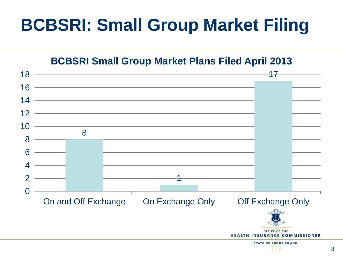#### **BCBSRI: Small Group Market Filing**

**BCBSRI Small Group Market Plans Filed April 2013**

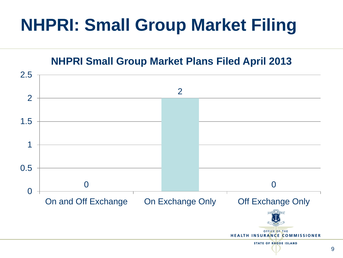#### **NHPRI: Small Group Market Filing**

**NHPRI Small Group Market Plans Filed April 2013**

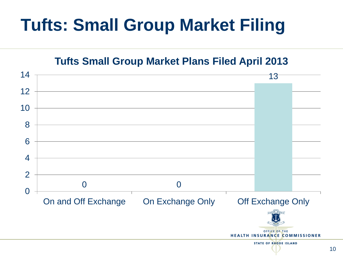#### **Tufts: Small Group Market Filing**

**Tufts Small Group Market Plans Filed April 2013**

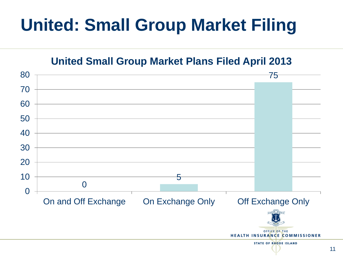#### **United: Small Group Market Filing**

**United Small Group Market Plans Filed April 2013**

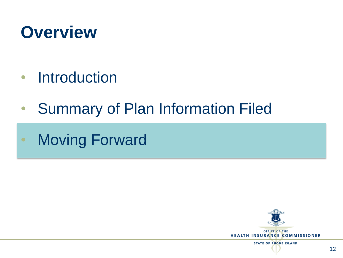

- Introduction
- Summary of Plan Information Filed
- **Moving Forward**